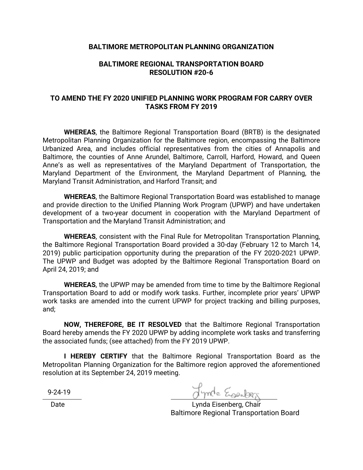## **BALTIMORE METROPOLITAN PLANNING ORGANIZATION**

## **BALTIMORE REGIONAL TRANSPORTATION BOARD RESOLUTION #20-6**

## **TO AMEND THE FY 2020 UNIFIED PLANNING WORK PROGRAM FOR CARRY OVER TASKS FROM FY 2019**

**WHEREAS**, the Baltimore Regional Transportation Board (BRTB) is the designated Metropolitan Planning Organization for the Baltimore region, encompassing the Baltimore Urbanized Area, and includes official representatives from the cities of Annapolis and Baltimore, the counties of Anne Arundel, Baltimore, Carroll, Harford, Howard, and Queen Anne's as well as representatives of the Maryland Department of Transportation, the Maryland Department of the Environment, the Maryland Department of Planning, the Maryland Transit Administration, and Harford Transit; and

**WHEREAS**, the Baltimore Regional Transportation Board was established to manage and provide direction to the Unified Planning Work Program (UPWP) and have undertaken development of a two-year document in cooperation with the Maryland Department of Transportation and the Maryland Transit Administration; and

**WHEREAS**, consistent with the Final Rule for Metropolitan Transportation Planning, the Baltimore Regional Transportation Board provided a 30-day (February 12 to March 14, 2019) public participation opportunity during the preparation of the FY 2020-2021 UPWP. The UPWP and Budget was adopted by the Baltimore Regional Transportation Board on April 24, 2019; and

**WHEREAS**, the UPWP may be amended from time to time by the Baltimore Regional Transportation Board to add or modify work tasks. Further, incomplete prior years' UPWP work tasks are amended into the current UPWP for project tracking and billing purposes, and;

**NOW, THEREFORE, BE IT RESOLVED** that the Baltimore Regional Transportation Board hereby amends the FY 2020 UPWP by adding incomplete work tasks and transferring the associated funds; (see attached) from the FY 2019 UPWP.

**I HEREBY CERTIFY** that the Baltimore Regional Transportation Board as the Metropolitan Planning Organization for the Baltimore region approved the aforementioned resolution at its September 24, 2019 meeting.

9-24-19

Jynde Esember

Date **Date Lynda Eisenberg, Chair** Baltimore Regional Transportation Board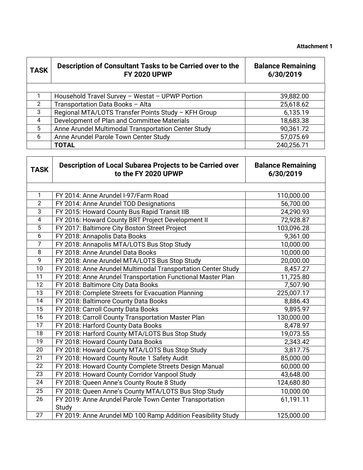| <b>TASK</b>             | Description of Consultant Tasks to be Carried over to the<br><b>FY 2020 UPWP</b> | <b>Balance Remaining</b><br>6/30/2019 |
|-------------------------|----------------------------------------------------------------------------------|---------------------------------------|
|                         |                                                                                  |                                       |
| $\mathbf{1}$            | Household Travel Survey - Westat - UPWP Portion                                  | 39,882.00                             |
| $\overline{2}$          | Transportation Data Books - Alta                                                 | 25,618.62                             |
| 3                       | Regional MTA/LOTS Transfer Points Study - KFH Group                              | 6,135.19                              |
| $\overline{4}$          | Development of Plan and Committee Materials                                      | 18,683.38                             |
| 5                       | Anne Arundel Multimodal Transportation Center Study                              | 90,361.72                             |
| 6                       | Anne Arundel Parole Town Center Study                                            | 57,075.69                             |
|                         | <b>TOTAL</b>                                                                     | 240,256.71                            |
| <b>TASK</b>             | Description of Local Subarea Projects to be Carried over<br>to the FY 2020 UPWP  | <b>Balance Remaining</b><br>6/30/2019 |
| 1                       | FY 2014: Anne Arundel I-97/Farm Road                                             | 110,000.00                            |
| $\overline{2}$          | FY 2014: Anne Arundel TOD Designations                                           | 56,700.00                             |
| $\overline{3}$          | FY 2015: Howard County Bus Rapid Transit IIB                                     | 24,290.93                             |
| $\overline{\mathbf{4}}$ | FY 2016: Howard County BRT Project Development II                                | 72,928.87                             |
| 5                       | FY 2017: Baltimore City Boston Street Project                                    | 103,096.28                            |
| 6                       | FY 2018: Annapolis Data Books                                                    | 9,361.00                              |
| $\overline{7}$          | FY 2018: Annapolis MTA/LOTS Bus Stop Study                                       | 10,000.00                             |
| 8                       | FY 2018: Anne Arundel Data Books                                                 | 10,000.00                             |
| 9                       | FY 2018: Anne Arundel MTA/LOTS Bus Stop Study                                    | 20,000.00                             |
| 10                      | FY 2018: Anne Arundel Multimodal Transportation Center Study                     | 8,457.27                              |
| 11                      | FY 2018: Anne Arundel Transportation Functional Master Plan                      | 11,725.80                             |
| 12                      | FY 2018: Baltimore City Data Books                                               | 7,507.90                              |
| 13                      | FY 2018: Complete Streets for Evacuation Planning                                | 225,007.17                            |
| 14                      | FY 2018: Baltimore County Data Books                                             | 8,886.43                              |
| 15                      | FY 2018: Carroll County Data Books                                               | 9,895.97                              |
| 16                      | FY 2018: Carroll County Transportation Master Plan                               | 130,000.00                            |
| 17                      | FY 2018: Harford County Data Books                                               | 8,478.97                              |
| 18                      | FY 2018: Harford County MTA/LOTS Bus Stop Study                                  | 19,073.55                             |
| 19                      | FY 2018: Howard County Data Books                                                | 2,343.42                              |
| 20                      | FY 2018: Howard County MTA/LOTS Bus Stop Study                                   | 3,817.75                              |
| 21                      | FY 2018: Howard County Route 1 Safety Audit                                      | 85,000.00                             |
| 22                      | FY 2018: Howard County Complete Streets Design Manual                            | 60,000.00                             |
| 23                      | FY 2018: Howard County Corridor Vanpool Study                                    | 43,648.00                             |
| 24                      | FY 2018: Queen Anne's County Route 8 Study                                       | 124,680.80                            |
| 25                      | FY 2018: Queen Anne's County MTA/LOTS Bus Stop Study                             | 10,000.00                             |
| 26                      | FY 2019: Anne Arundel Parole Town Center Transportation                          | 61,191.11                             |
|                         | Study                                                                            |                                       |
| 27                      | FY 2019: Anne Arundel MD 100 Ramp Addition Feasibility Study                     | 125,000.00                            |